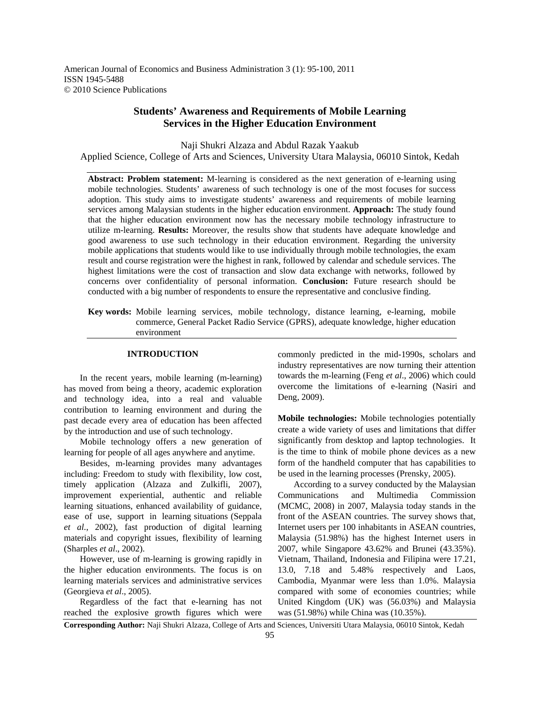American Journal of Economics and Business Administration 3 (1): 95-100, 2011 ISSN 1945-5488 © 2010 Science Publications

# **Students' Awareness and Requirements of Mobile Learning Services in the Higher Education Environment**

Naji Shukri Alzaza and Abdul Razak Yaakub Applied Science, College of Arts and Sciences, University Utara Malaysia, 06010 Sintok, Kedah

**Abstract: Problem statement:** M-learning is considered as the next generation of e-learning using mobile technologies. Students' awareness of such technology is one of the most focuses for success adoption. This study aims to investigate students' awareness and requirements of mobile learning services among Malaysian students in the higher education environment. **Approach:** The study found that the higher education environment now has the necessary mobile technology infrastructure to utilize m-learning. **Results:** Moreover, the results show that students have adequate knowledge and good awareness to use such technology in their education environment. Regarding the university mobile applications that students would like to use individually through mobile technologies, the exam result and course registration were the highest in rank, followed by calendar and schedule services. The highest limitations were the cost of transaction and slow data exchange with networks, followed by concerns over confidentiality of personal information. **Conclusion:** Future research should be conducted with a big number of respondents to ensure the representative and conclusive finding.

**Key words:** Mobile learning services, mobile technology, distance learning, e-learning, mobile commerce, General Packet Radio Service (GPRS), adequate knowledge, higher education environment

### **INTRODUCTION**

 In the recent years, mobile learning (m-learning) has moved from being a theory, academic exploration and technology idea, into a real and valuable contribution to learning environment and during the past decade every area of education has been affected by the introduction and use of such technology.

 Mobile technology offers a new generation of learning for people of all ages anywhere and anytime.

 Besides, m-learning provides many advantages including: Freedom to study with flexibility, low cost, timely application (Alzaza and Zulkifli, 2007), improvement experiential, authentic and reliable learning situations, enhanced availability of guidance, ease of use, support in learning situations (Seppala *et al*., 2002), fast production of digital learning materials and copyright issues, flexibility of learning (Sharples *et al*., 2002).

 However, use of m-learning is growing rapidly in the higher education environments. The focus is on learning materials services and administrative services (Georgieva *et al*., 2005).

 Regardless of the fact that e-learning has not reached the explosive growth figures which were

commonly predicted in the mid-1990s, scholars and industry representatives are now turning their attention towards the m-learning (Feng *et al*., 2006) which could overcome the limitations of e-learning (Nasiri and Deng, 2009).

**Mobile technologies:** Mobile technologies potentially create a wide variety of uses and limitations that differ significantly from desktop and laptop technologies. It is the time to think of mobile phone devices as a new form of the handheld computer that has capabilities to be used in the learning processes (Prensky, 2005).

 According to a survey conducted by the Malaysian Communications and Multimedia Commission (MCMC, 2008) in 2007, Malaysia today stands in the front of the ASEAN countries. The survey shows that, Internet users per 100 inhabitants in ASEAN countries, Malaysia (51.98%) has the highest Internet users in 2007, while Singapore 43.62% and Brunei (43.35%). Vietnam, Thailand, Indonesia and Filipina were 17.21, 13.0, 7.18 and 5.48% respectively and Laos, Cambodia, Myanmar were less than 1.0%. Malaysia compared with some of economies countries; while United Kingdom (UK) was (56.03%) and Malaysia was (51.98%) while China was (10.35%).

**Corresponding Author:** Naji Shukri Alzaza, College of Arts and Sciences, Universiti Utara Malaysia, 06010 Sintok, Kedah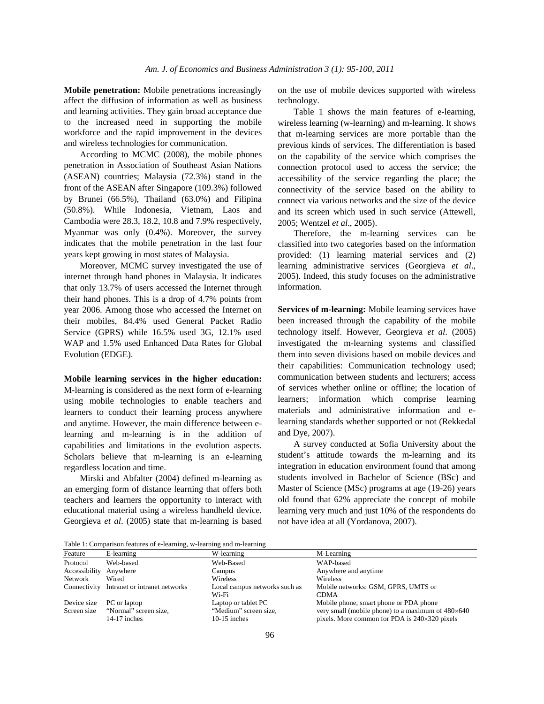**Mobile penetration:** Mobile penetrations increasingly affect the diffusion of information as well as business and learning activities. They gain broad acceptance due to the increased need in supporting the mobile workforce and the rapid improvement in the devices and wireless technologies for communication.

 According to MCMC (2008), the mobile phones penetration in Association of Southeast Asian Nations (ASEAN) countries; Malaysia (72.3%) stand in the front of the ASEAN after Singapore (109.3%) followed by Brunei (66.5%), Thailand (63.0%) and Filipina (50.8%). While Indonesia, Vietnam, Laos and Cambodia were 28.3, 18.2, 10.8 and 7.9% respectively, Myanmar was only (0.4%). Moreover, the survey indicates that the mobile penetration in the last four years kept growing in most states of Malaysia.

 Moreover, MCMC survey investigated the use of internet through hand phones in Malaysia. It indicates that only 13.7% of users accessed the Internet through their hand phones. This is a drop of 4.7% points from year 2006. Among those who accessed the Internet on their mobiles, 84.4% used General Packet Radio Service (GPRS) while 16.5% used 3G, 12.1% used WAP and 1.5% used Enhanced Data Rates for Global Evolution (EDGE).

# **Mobile learning services in the higher education:**

M-learning is considered as the next form of e-learning using mobile technologies to enable teachers and learners to conduct their learning process anywhere and anytime. However, the main difference between elearning and m-learning is in the addition of capabilities and limitations in the evolution aspects. Scholars believe that m-learning is an e-learning regardless location and time.

 Mirski and Abfalter (2004) defined m-learning as an emerging form of distance learning that offers both teachers and learners the opportunity to interact with educational material using a wireless handheld device. Georgieva *et al*. (2005) state that m-learning is based on the use of mobile devices supported with wireless technology.

 Table 1 shows the main features of e-learning, wireless learning (w-learning) and m-learning. It shows that m-learning services are more portable than the previous kinds of services. The differentiation is based on the capability of the service which comprises the connection protocol used to access the service; the accessibility of the service regarding the place; the connectivity of the service based on the ability to connect via various networks and the size of the device and its screen which used in such service (Attewell, 2005; Wentzel *et al*., 2005).

 Therefore, the m-learning services can be classified into two categories based on the information provided: (1) learning material services and (2) learning administrative services (Georgieva *et al*., 2005). Indeed, this study focuses on the administrative information.

**Services of m-learning:** Mobile learning services have been increased through the capability of the mobile technology itself. However, Georgieva *et al*. (2005) investigated the m-learning systems and classified them into seven divisions based on mobile devices and their capabilities: Communication technology used; communication between students and lecturers; access of services whether online or offline; the location of learners; information which comprise learning materials and administrative information and elearning standards whether supported or not (Rekkedal and Dye, 2007).

 A survey conducted at Sofia University about the student's attitude towards the m-learning and its integration in education environment found that among students involved in Bachelor of Science (BSc) and Master of Science (MSc) programs at age (19-26) years old found that 62% appreciate the concept of mobile learning very much and just 10% of the respondents do not have idea at all (Yordanova, 2007).

Table 1: Comparison features of e-learning, w-learning and m-learning

|               | $\sim$                                     |                               |                                                          |
|---------------|--------------------------------------------|-------------------------------|----------------------------------------------------------|
| Feature       | E-learning                                 | W-learning                    | M-Learning                                               |
| Protocol      | Web-based                                  | Web-Based                     | WAP-based                                                |
| Accessibility | Anywhere                                   | Campus                        | Anywhere and anytime                                     |
| Network       | Wired                                      | Wireless                      | <b>Wireless</b>                                          |
|               | Connectivity Intranet or intranet networks | Local campus networks such as | Mobile networks: GSM, GPRS, UMTS or                      |
|               |                                            | Wi-Fi                         | <b>CDMA</b>                                              |
| Device size   | PC or laptop                               | Laptop or tablet PC           | Mobile phone, smart phone or PDA phone                   |
| Screen size   | "Normal" screen size,                      | "Medium" screen size,         | very small (mobile phone) to a maximum of $480\times640$ |
|               | $14-17$ inches                             | $10-15$ inches                | pixels. More common for PDA is $240\times320$ pixels     |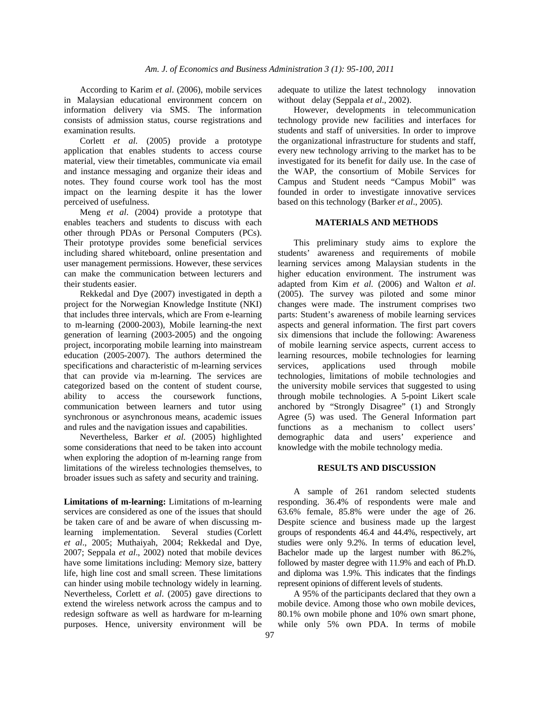According to Karim *et al*. (2006), mobile services in Malaysian educational environment concern on information delivery via SMS. The information consists of admission status, course registrations and examination results.

 Corlett *et al*. (2005) provide a prototype application that enables students to access course material, view their timetables, communicate via email and instance messaging and organize their ideas and notes. They found course work tool has the most impact on the learning despite it has the lower perceived of usefulness.

 Meng *et al*. (2004) provide a prototype that enables teachers and students to discuss with each other through PDAs or Personal Computers (PCs). Their prototype provides some beneficial services including shared whiteboard, online presentation and user management permissions. However, these services can make the communication between lecturers and their students easier.

 Rekkedal and Dye (2007) investigated in depth a project for the Norwegian Knowledge Institute (NKI) that includes three intervals, which are From e-learning to m-learning (2000-2003), Mobile learning-the next generation of learning (2003-2005) and the ongoing project, incorporating mobile learning into mainstream education (2005-2007). The authors determined the specifications and characteristic of m-learning services that can provide via m-learning. The services are categorized based on the content of student course, ability to access the coursework functions, communication between learners and tutor using synchronous or asynchronous means, academic issues and rules and the navigation issues and capabilities.

 Nevertheless, Barker *et al*. (2005) highlighted some considerations that need to be taken into account when exploring the adoption of m-learning range from limitations of the wireless technologies themselves, to broader issues such as safety and security and training.

**Limitations of m-learning:** Limitations of m-learning services are considered as one of the issues that should be taken care of and be aware of when discussing mlearning implementation. Several studies (Corlett *et al*., 2005; Muthaiyah, 2004; Rekkedal and Dye, 2007; Seppala *et al*., 2002) noted that mobile devices have some limitations including: Memory size, battery life, high line cost and small screen. These limitations can hinder using mobile technology widely in learning. Nevertheless, Corlett *et al*. (2005) gave directions to extend the wireless network across the campus and to redesign software as well as hardware for m-learning purposes. Hence, university environment will be

adequate to utilize the latest technology innovation without delay (Seppala *et al*., 2002).

 However, developments in telecommunication technology provide new facilities and interfaces for students and staff of universities. In order to improve the organizational infrastructure for students and staff, every new technology arriving to the market has to be investigated for its benefit for daily use. In the case of the WAP, the consortium of Mobile Services for Campus and Student needs "Campus Mobil" was founded in order to investigate innovative services based on this technology (Barker *et al*., 2005).

#### **MATERIALS AND METHODS**

 This preliminary study aims to explore the students' awareness and requirements of mobile learning services among Malaysian students in the higher education environment. The instrument was adapted from Kim *et al*. (2006) and Walton *et al*. (2005). The survey was piloted and some minor changes were made. The instrument comprises two parts: Student's awareness of mobile learning services aspects and general information. The first part covers six dimensions that include the following: Awareness of mobile learning service aspects, current access to learning resources, mobile technologies for learning services, applications used through mobile technologies, limitations of mobile technologies and the university mobile services that suggested to using through mobile technologies. A 5-point Likert scale anchored by "Strongly Disagree" (1) and Strongly Agree (5) was used. The General Information part functions as a mechanism to collect users' demographic data and users' experience and knowledge with the mobile technology media.

#### **RESULTS AND DISCUSSION**

 A sample of 261 random selected students responding. 36.4% of respondents were male and 63.6% female, 85.8% were under the age of 26. Despite science and business made up the largest groups of respondents 46.4 and 44.4%, respectively, art studies were only 9.2%. In terms of education level, Bachelor made up the largest number with 86.2%, followed by master degree with 11.9% and each of Ph.D. and diploma was 1.9%. This indicates that the findings represent opinions of different levels of students.

 A 95% of the participants declared that they own a mobile device. Among those who own mobile devices, 80.1% own mobile phone and 10% own smart phone, while only 5% own PDA. In terms of mobile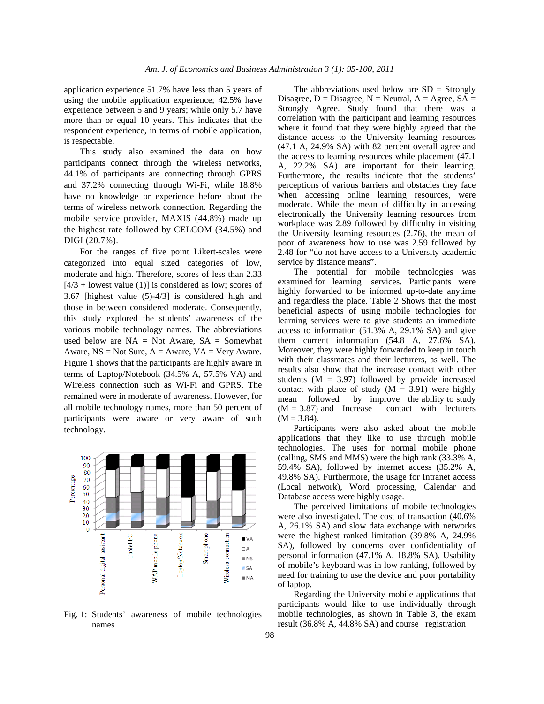application experience 51.7% have less than 5 years of using the mobile application experience; 42.5% have experience between 5 and 9 years; while only 5.7 have more than or equal 10 years. This indicates that the respondent experience, in terms of mobile application, is respectable.

 This study also examined the data on how participants connect through the wireless networks, 44.1% of participants are connecting through GPRS and 37.2% connecting through Wi-Fi, while 18.8% have no knowledge or experience before about the terms of wireless network connection. Regarding the mobile service provider, MAXIS (44.8%) made up the highest rate followed by CELCOM (34.5%) and DIGI (20.7%).

 For the ranges of five point Likert-scales were categorized into equal sized categories of low, moderate and high. Therefore, scores of less than 2.33  $[4/3 +$  lowest value (1)] is considered as low; scores of 3.67 [highest value (5)-4/3] is considered high and those in between considered moderate. Consequently, this study explored the students' awareness of the various mobile technology names. The abbreviations used below are  $NA = Not$  Aware,  $SA = Somewhat$ Aware,  $NS = Not Sure$ ,  $A = Award, VA = Very Award$ . Figure 1 shows that the participants are highly aware in terms of Laptop/Notebook (34.5% A, 57.5% VA) and Wireless connection such as Wi-Fi and GPRS. The remained were in moderate of awareness. However, for all mobile technology names, more than 50 percent of participants were aware or very aware of such technology.



Fig. 1: Students' awareness of mobile technologies names

The abbreviations used below are  $SD =$  Strongly Disagree,  $D = Disagree$ ,  $N = Neutral$ ,  $A = Agree$ ,  $SA =$ Strongly Agree. Study found that there was a correlation with the participant and learning resources where it found that they were highly agreed that the distance access to the University learning resources (47.1 A, 24.9% SA) with 82 percent overall agree and the access to learning resources while placement (47.1 A, 22.2% SA) are important for their learning. Furthermore, the results indicate that the students' perceptions of various barriers and obstacles they face when accessing online learning resources, were moderate. While the mean of difficulty in accessing electronically the University learning resources from workplace was 2.89 followed by difficulty in visiting the University learning resources (2.76), the mean of poor of awareness how to use was 2.59 followed by 2.48 for "do not have access to a University academic service by distance means".

 The potential for mobile technologies was examined for learning services. Participants were highly forwarded to be informed up-to-date anytime and regardless the place. Table 2 Shows that the most beneficial aspects of using mobile technologies for learning services were to give students an immediate access to information (51.3% A, 29.1% SA) and give them current information (54.8 A, 27.6% SA). Moreover, they were highly forwarded to keep in touch with their classmates and their lecturers, as well. The results also show that the increase contact with other students ( $M = 3.97$ ) followed by provide increased contact with place of study  $(M = 3.91)$  were highly mean followed by improve the ability to study  $(M = 3.87)$  and Increase contact with lecturers  $(M = 3.84)$ .

 Participants were also asked about the mobile applications that they like to use through mobile technologies. The uses for normal mobile phone (calling, SMS and MMS) were the high rank (33.3% A, 59.4% SA), followed by internet access (35.2% A, 49.8% SA). Furthermore, the usage for Intranet access (Local network), Word processing, Calendar and Database access were highly usage.

 The perceived limitations of mobile technologies were also investigated. The cost of transaction (40.6% A, 26.1% SA) and slow data exchange with networks were the highest ranked limitation (39.8% A, 24.9% SA), followed by concerns over confidentiality of personal information (47.1% A, 18.8% SA). Usability of mobile's keyboard was in low ranking, followed by need for training to use the device and poor portability of laptop.

 Regarding the University mobile applications that participants would like to use individually through mobile technologies, as shown in Table 3, the exam result (36.8% A, 44.8% SA) and course registration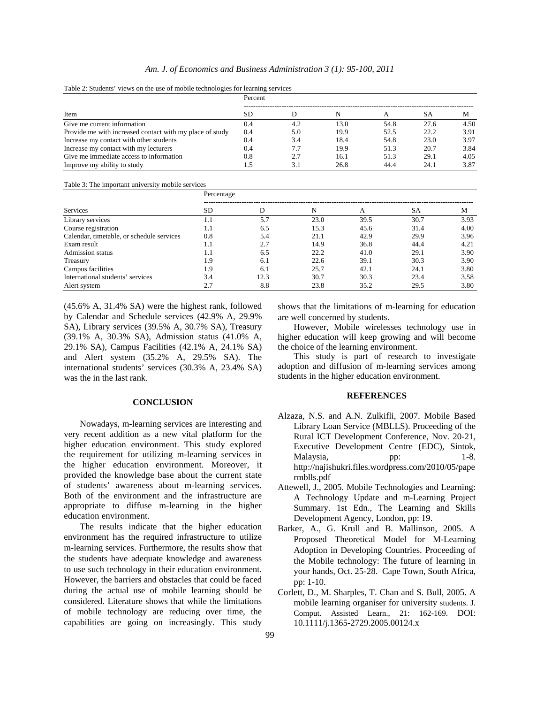|                                                          | Percent |     |      |      |      |      |
|----------------------------------------------------------|---------|-----|------|------|------|------|
| Item                                                     | SD      |     |      |      | SА   | M    |
| Give me current information                              | 0.4     | 4.2 | 13.0 | 54.8 | 27.6 | 4.50 |
| Provide me with increased contact with my place of study | 0.4     | 5.0 | 19.9 | 52.5 | 22.2 | 3.91 |
| Increase my contact with other students                  | 0.4     | 3.4 | 18.4 | 54.8 | 23.0 | 3.97 |
| Increase my contact with my lecturers                    | 0.4     | 7.7 | 19.9 | 51.3 | 20.7 | 3.84 |
| Give me immediate access to information                  | 0.8     | 2.7 | 16.1 | 51.3 | 29.1 | 4.05 |
| Improve my ability to study                              |         | 3.1 | 26.8 | 44.4 | 24.1 | 3.87 |

Table 2: Students' views on the use of mobile technologies for learning services

Table 3: The important university mobile services

|                                           | Percentage |      |      |      |           |      |  |
|-------------------------------------------|------------|------|------|------|-----------|------|--|
| <b>Services</b>                           | <b>SD</b>  | D    | N    | A    | <b>SA</b> | M    |  |
| Library services                          | 1.1        | 5.7  | 23.0 | 39.5 | 30.7      | 3.93 |  |
| Course registration                       | 1.1        | 6.5  | 15.3 | 45.6 | 31.4      | 4.00 |  |
| Calendar, timetable, or schedule services | 0.8        | 5.4  | 21.1 | 42.9 | 29.9      | 3.96 |  |
| Exam result                               | 1.1        | 2.7  | 14.9 | 36.8 | 44.4      | 4.21 |  |
| <b>Admission status</b>                   | 1.1        | 6.5  | 22.2 | 41.0 | 29.1      | 3.90 |  |
| Treasury                                  | 1.9        | 6.1  | 22.6 | 39.1 | 30.3      | 3.90 |  |
| Campus facilities                         | 1.9        | 6.1  | 25.7 | 42.1 | 24.1      | 3.80 |  |
| International students' services          | 3.4        | 12.3 | 30.7 | 30.3 | 23.4      | 3.58 |  |
| Alert system                              | 2.7        | 8.8  | 23.8 | 35.2 | 29.5      | 3.80 |  |

(45.6% A, 31.4% SA) were the highest rank, followed by Calendar and Schedule services (42.9% A, 29.9% SA), Library services (39.5% A, 30.7% SA), Treasury (39.1% A, 30.3% SA), Admission status (41.0% A, 29.1% SA), Campus Facilities (42.1% A, 24.1% SA) and Alert system (35.2% A, 29.5% SA). The international students' services (30.3% A, 23.4% SA) was the in the last rank.

## **CONCLUSION**

 Nowadays, m-learning services are interesting and very recent addition as a new vital platform for the higher education environment. This study explored the requirement for utilizing m-learning services in the higher education environment. Moreover, it provided the knowledge base about the current state of students' awareness about m-learning services. Both of the environment and the infrastructure are appropriate to diffuse m-learning in the higher education environment.

 The results indicate that the higher education environment has the required infrastructure to utilize m-learning services. Furthermore, the results show that the students have adequate knowledge and awareness to use such technology in their education environment. However, the barriers and obstacles that could be faced during the actual use of mobile learning should be considered. Literature shows that while the limitations of mobile technology are reducing over time, the capabilities are going on increasingly. This study

shows that the limitations of m-learning for education are well concerned by students.

 However, Mobile wirelesses technology use in higher education will keep growing and will become the choice of the learning environment.

 This study is part of research to investigate adoption and diffusion of m-learning services among students in the higher education environment.

#### **REFERENCES**

- Alzaza, N.S. and A.N. Zulkifli, 2007. Mobile Based Library Loan Service (MBLLS). Proceeding of the Rural ICT Development Conference, Nov. 20-21, Executive Development Centre (EDC), Sintok, Malaysia, pp: 1-8. http://najishukri.files.wordpress.com/2010/05/pape rmblls.pdf
- Attewell, J., 2005. Mobile Technologies and Learning: A Technology Update and m-Learning Project Summary. 1st Edn., The Learning and Skills Development Agency, London, pp: 19.
- Barker, A., G. Krull and B. Mallinson, 2005. A Proposed Theoretical Model for M-Learning Adoption in Developing Countries. Proceeding of the Mobile technology: The future of learning in your hands, Oct. 25-28. Cape Town, South Africa, pp: 1-10.
- Corlett, D., M. Sharples, T. Chan and S. Bull, 2005. A mobile learning organiser for university students. J. Comput. Assisted Learn., 21: 162-169. DOI: 10.1111/j.1365-2729.2005.00124.x